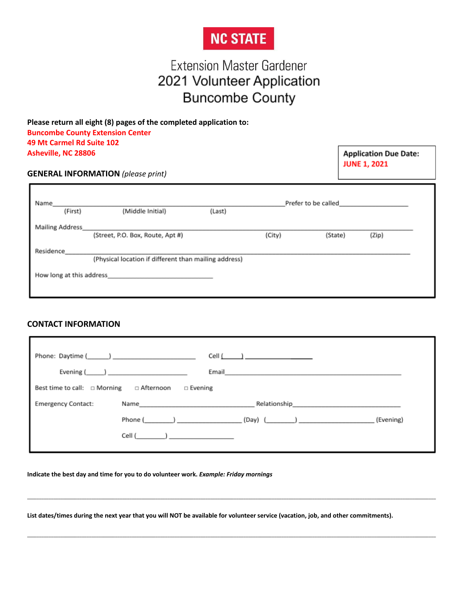# **NC STATE**

# **Extension Master Gardener** 2021 Volunteer Application **Buncombe County**

**Please return all eight (8) pages of the completed application to: Buncombe County Extension Center 49 Mt Carmel Rd Suite 102 Asheville, NC 28806**

**Application Due Date: JUNE 1, 2021** 

#### **GENERAL INFORMATION** *(please print)*

| (Middle Initial) | (Last)                                                       |                                                       |         |                     |
|------------------|--------------------------------------------------------------|-------------------------------------------------------|---------|---------------------|
|                  |                                                              | (City)                                                | (State) | (Zip)               |
|                  |                                                              |                                                       |         |                     |
|                  |                                                              |                                                       |         |                     |
|                  | (Street, P.O. Box, Route, Apt #)<br>How long at this address | (Physical location if different than mailing address) |         | Prefer to be called |

#### **CONTACT INFORMATION**

|                                          | Cell $\underline{($                                                                                                                                                                                                                                         |  |
|------------------------------------------|-------------------------------------------------------------------------------------------------------------------------------------------------------------------------------------------------------------------------------------------------------------|--|
|                                          | Evening $(\_\_\_\_$<br>Email <b>Experiment Contract Contract Contract Contract Contract Contract Contract Contract Contract Contract Contract Contract Contract Contract Contract Contract Contract Contract Contract Contract Contract Contract Contra</b> |  |
| Best time to call: □ Morning □ Afternoon | $\Box$ Evening                                                                                                                                                                                                                                              |  |
| <b>Emergency Contact:</b>                | Name 2008 2009 2010 2021 2022 2023 2024 2022 2023 2024 2022 2023 2024 2022 2023 2024 2022 2023 2024 2022 2023                                                                                                                                               |  |
|                                          | (Evening)                                                                                                                                                                                                                                                   |  |
|                                          | Cell ( )                                                                                                                                                                                                                                                    |  |
|                                          |                                                                                                                                                                                                                                                             |  |

 $\_$  ,  $\_$  ,  $\_$  ,  $\_$  ,  $\_$  ,  $\_$  ,  $\_$  ,  $\_$  ,  $\_$  ,  $\_$  ,  $\_$  ,  $\_$  ,  $\_$  ,  $\_$  ,  $\_$  ,  $\_$  ,  $\_$  ,  $\_$  ,  $\_$  ,  $\_$  ,  $\_$  ,  $\_$  ,  $\_$  ,  $\_$  ,  $\_$  ,  $\_$  ,  $\_$  ,  $\_$  ,  $\_$  ,  $\_$  ,  $\_$  ,  $\_$  ,  $\_$  ,  $\_$  ,  $\_$  ,  $\_$  ,  $\_$  ,

\_\_\_\_\_\_\_\_\_\_\_\_\_\_\_\_\_\_\_\_\_\_\_\_\_\_\_\_\_\_\_\_\_\_\_\_\_\_\_\_\_\_\_\_\_\_\_\_\_\_\_\_\_\_\_\_\_\_\_\_\_\_\_\_\_\_\_\_\_\_\_\_\_\_\_\_\_\_\_\_\_\_\_\_\_\_\_\_\_\_\_\_\_\_\_\_\_\_\_\_\_\_\_\_\_\_\_\_\_\_\_\_\_\_\_\_\_\_\_\_\_\_\_\_\_\_\_\_\_\_\_\_\_\_\_\_\_\_\_\_\_\_\_\_\_\_\_\_\_\_\_\_\_\_\_\_\_\_\_\_\_\_\_\_\_\_\_\_\_\_\_\_

**Indicate the best day and time for you to do volunteer work.** *Example: Friday mornings*

**List dates/times during the next year that you will NOT be available for volunteer service (vacation, job, and other commitments).**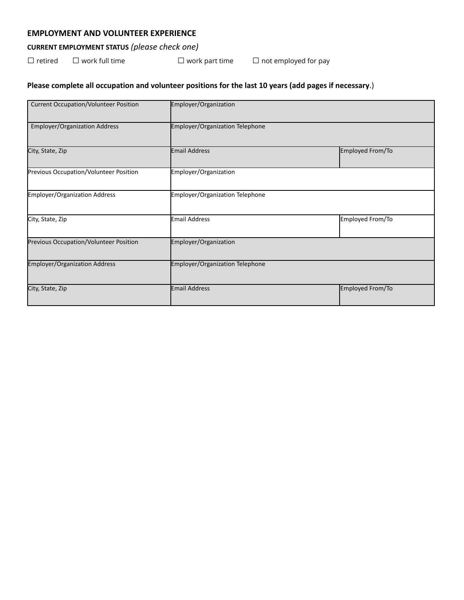#### **EMPLOYMENT AND VOLUNTEER EXPERIENCE**

### **CURRENT EMPLOYMENT STATUS** *(please check one)*

□ retired □ work full time □ work part time □ not employed for pay

## **Please complete all occupation and volunteer positions for the last 10 years (add pages if necessary**.)

| <b>Current Occupation/Volunteer Position</b> | Employer/Organization           |                  |
|----------------------------------------------|---------------------------------|------------------|
| <b>Employer/Organization Address</b>         | Employer/Organization Telephone |                  |
| City, State, Zip                             | <b>Email Address</b>            | Employed From/To |
| Previous Occupation/Volunteer Position       | Employer/Organization           |                  |
| <b>Employer/Organization Address</b>         | Employer/Organization Telephone |                  |
| City, State, Zip                             | <b>Email Address</b>            | Employed From/To |
| Previous Occupation/Volunteer Position       | Employer/Organization           |                  |
| <b>Employer/Organization Address</b>         | Employer/Organization Telephone |                  |
| City, State, Zip                             | Email Address                   | Employed From/To |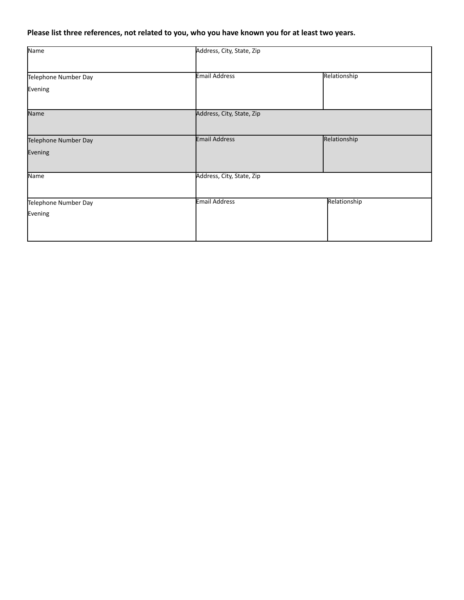## Please list three references, not related to you, who you have known you for at least two years.

| Address, City, State, Zip |                      |
|---------------------------|----------------------|
|                           | Relationship         |
|                           |                      |
|                           |                      |
| Address, City, State, Zip |                      |
| <b>Email Address</b>      | Relationship         |
|                           |                      |
| Address, City, State, Zip |                      |
| <b>Email Address</b>      | Relationship         |
|                           |                      |
|                           |                      |
|                           | <b>Email Address</b> |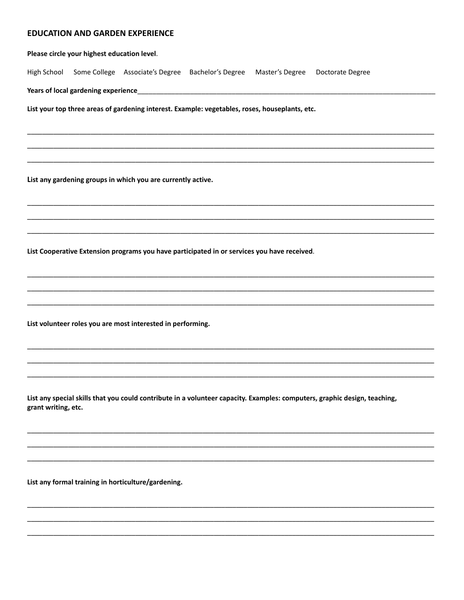#### **EDUCATION AND GARDEN EXPERIENCE**

|                     | Please circle your highest education level. |                                                                                                |  |                                                                                                                           |
|---------------------|---------------------------------------------|------------------------------------------------------------------------------------------------|--|---------------------------------------------------------------------------------------------------------------------------|
| High School         |                                             | Some College Associate's Degree Bachelor's Degree Master's Degree Doctorate Degree             |  |                                                                                                                           |
|                     |                                             |                                                                                                |  |                                                                                                                           |
|                     |                                             | List your top three areas of gardening interest. Example: vegetables, roses, houseplants, etc. |  |                                                                                                                           |
|                     |                                             |                                                                                                |  |                                                                                                                           |
|                     |                                             |                                                                                                |  |                                                                                                                           |
|                     |                                             |                                                                                                |  |                                                                                                                           |
|                     |                                             | List any gardening groups in which you are currently active.                                   |  |                                                                                                                           |
|                     |                                             |                                                                                                |  |                                                                                                                           |
|                     |                                             |                                                                                                |  |                                                                                                                           |
|                     |                                             |                                                                                                |  |                                                                                                                           |
|                     |                                             | List Cooperative Extension programs you have participated in or services you have received.    |  |                                                                                                                           |
|                     |                                             |                                                                                                |  |                                                                                                                           |
|                     |                                             |                                                                                                |  |                                                                                                                           |
|                     |                                             | List volunteer roles you are most interested in performing.                                    |  |                                                                                                                           |
|                     |                                             |                                                                                                |  |                                                                                                                           |
|                     |                                             |                                                                                                |  |                                                                                                                           |
|                     |                                             |                                                                                                |  |                                                                                                                           |
|                     |                                             |                                                                                                |  | List any special skills that you could contribute in a volunteer capacity. Examples: computers, graphic design, teaching, |
| grant writing, etc. |                                             |                                                                                                |  |                                                                                                                           |
|                     |                                             |                                                                                                |  |                                                                                                                           |
|                     |                                             |                                                                                                |  |                                                                                                                           |

List any formal training in horticulture/gardening.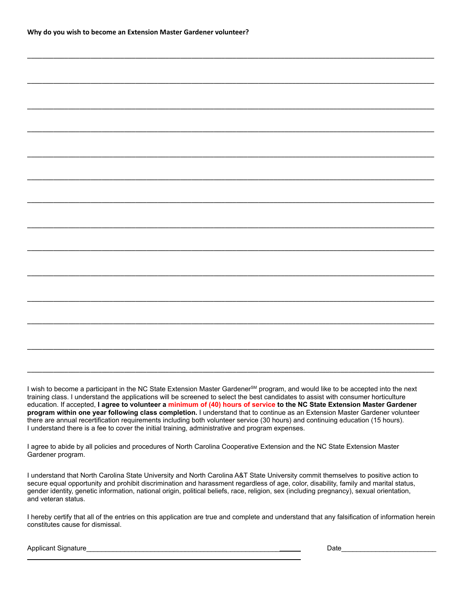\_\_\_\_\_\_\_\_\_\_\_\_\_\_\_\_\_\_\_\_\_\_\_\_\_\_\_\_\_\_\_\_\_\_\_\_\_\_\_\_\_\_\_\_\_\_\_\_\_\_\_\_\_\_\_\_\_\_\_\_\_\_\_\_\_\_\_\_\_\_\_\_\_\_\_\_\_\_\_\_\_\_\_\_\_\_\_\_\_\_\_\_\_\_\_\_\_\_\_\_\_\_\_\_\_\_\_\_\_

I wish to become a participant in the NC State Extension Master Gardener<sup>SM</sup> program, and would like to be accepted into the next training class. I understand the applications will be screened to select the best candidates to assist with consumer horticulture education. If accepted, **I agree to volunteer a minimum of (40) hours of service to the NC State Extension Master Gardener program within one year following class completion.** I understand that to continue as an Extension Master Gardener volunteer there are annual recertification requirements including both volunteer service (30 hours) and continuing education (15 hours). I understand there is a fee to cover the initial training, administrative and program expenses.

\_\_\_\_\_\_\_\_\_\_\_\_\_\_\_\_\_\_\_\_\_\_\_\_\_\_\_\_\_\_\_\_\_\_\_\_\_\_\_\_\_\_\_\_\_\_\_\_\_\_\_\_\_\_\_\_\_\_\_\_\_\_\_\_\_\_\_\_\_\_\_\_\_\_\_\_\_\_\_\_\_\_\_\_\_\_\_\_\_\_\_\_\_\_\_\_\_\_\_\_\_\_\_\_\_\_\_\_\_

I agree to abide by all policies and procedures of North Carolina Cooperative Extension and the NC State Extension Master Gardener program.

I understand that North Carolina State University and North Carolina A&T State University commit themselves to positive action to secure equal opportunity and prohibit discrimination and harassment regardless of age, color, disability, family and marital status, gender identity, genetic information, national origin, political beliefs, race, religion, sex (including pregnancy), sexual orientation, and veteran status.

I hereby certify that all of the entries on this application are true and complete and understand that any falsification of information herein constitutes cause for dismissal.

Applicant Signature **Example 20** and the set of the set of the set of the set of the set of the set of the set of the set of the set of the set of the set of the set of the set of the set of the set of the set of the set o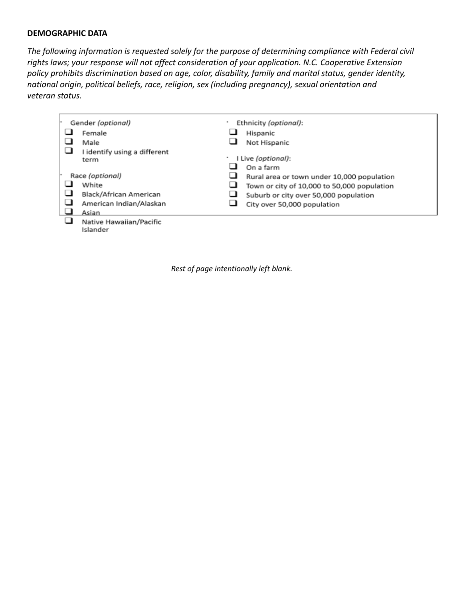#### **DEMOGRAPHIC DATA**

*The following information is requested solely for the purpose of determining compliance with Federal civil rights laws; your response will not affect consideration of your application. N.C. Cooperative Extension policy prohibits discrimination based on age, color, disability, family and marital status, gender identity, national origin, political beliefs, race, religion, sex (including pregnancy), sexual orientation and veteran status.*

| Gender (optional)                    | Ethnicity (optional):<br>٠                       |
|--------------------------------------|--------------------------------------------------|
| Female                               | Hispanic                                         |
| Male                                 | Not Hispanic                                     |
| I identify using a different<br>term | I Live (optional):<br>٠<br>On a farm             |
| Race (optional)                      | ப<br>Rural area or town under 10,000 population  |
| White                                | ப<br>Town or city of 10,000 to 50,000 population |
| Black/African American               | ⊐<br>Suburb or city over 50,000 population       |
| American Indian/Alaskan              | City over 50,000 population                      |
| Asian                                |                                                  |
| Native Hawaiian/Pacific<br>Islander  |                                                  |

*Rest of page intentionally left blank.*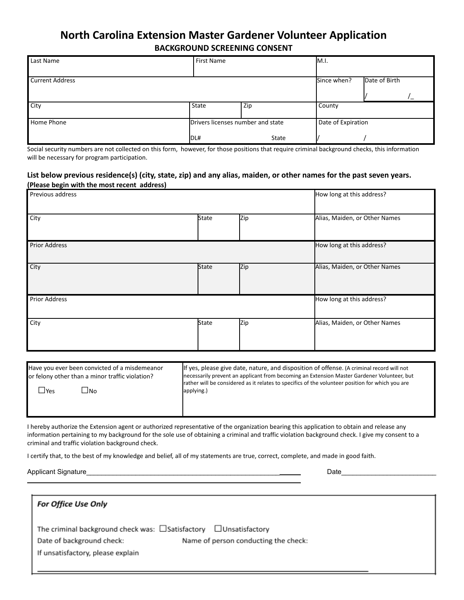## **North Carolina Extension Master Gardener Volunteer Application BACKGROUND SCREENING CONSENT**

| Last Name              | <b>First Name</b>                 |       | M.I.               |               |
|------------------------|-----------------------------------|-------|--------------------|---------------|
|                        |                                   |       |                    |               |
| <b>Current Address</b> |                                   |       | Since when?        | Date of Birth |
|                        |                                   |       |                    |               |
| $\overline{City}$      | State                             | Zip   | County             |               |
| <b>Home Phone</b>      | Drivers licenses number and state |       | Date of Expiration |               |
|                        | IDL#                              | State |                    |               |

Social security numbers are not collected on this form, however, for those positions that require criminal background checks, this information will be necessary for program participation.

#### List below previous residence(s) (city, state, zip) and any alias, maiden, or other names for the past seven years. **(Please begin with the most recent address)**

| Previous address     |              |            | How long at this address?     |
|----------------------|--------------|------------|-------------------------------|
| City                 | <b>State</b> | Zip        | Alias, Maiden, or Other Names |
| <b>Prior Address</b> |              |            | How long at this address?     |
| City                 | <b>State</b> | <b>Zip</b> | Alias, Maiden, or Other Names |
| <b>Prior Address</b> |              |            | How long at this address?     |
| City                 | <b>State</b> | Zip        | Alias, Maiden, or Other Names |

| Have you ever been convicted of a misdemeanor   | If yes, please give date, nature, and disposition of offense. (A criminal record will not        |
|-------------------------------------------------|--------------------------------------------------------------------------------------------------|
| or felony other than a minor traffic violation? | necessarily prevent an applicant from becoming an Extension Master Gardener Volunteer, but       |
| <b>IYes</b>                                     | rather will be considered as it relates to specifics of the volunteer position for which you are |
| ⊿No                                             | applying.)                                                                                       |
|                                                 |                                                                                                  |

I hereby authorize the Extension agent or authorized representative of the organization bearing this application to obtain and release any information pertaining to my background for the sole use of obtaining a criminal and traffic violation background check. I give my consent to a criminal and traffic violation background check.

I certify that, to the best of my knowledge and belief, all of my statements are true, correct, complete, and made in good faith.

Applicant Signature **Example 20** and the set of the set of the set of the set of the set of the set of the set of the set of the set of the set of the set of the set of the set of the set of the set of the set of the set o

| <b>For Office Use Only</b>                                         |                                      |
|--------------------------------------------------------------------|--------------------------------------|
| The criminal background check was: □ Satisfactory □ Unsatisfactory |                                      |
| Date of background check:                                          | Name of person conducting the check: |
| If unsatisfactory, please explain                                  |                                      |
|                                                                    |                                      |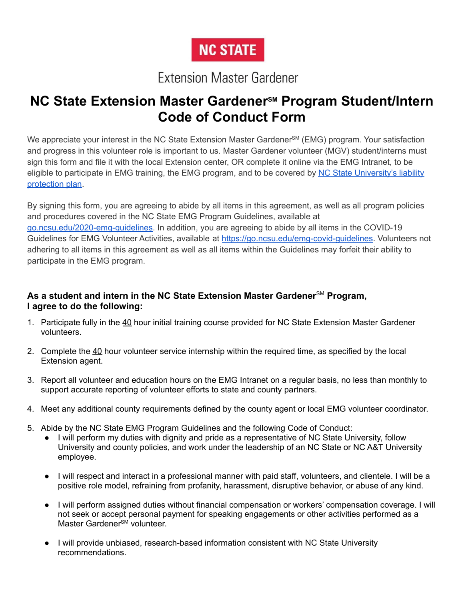# **NC STATE**

# **Extension Master Gardener**

# **NC State Extension Master Gardener<sup>SM</sup> Program Student/Intern Code of Conduct Form**

We appreciate your interest in the NC State Extension Master Gardener<sup>sM</sup> (EMG) program. Your satisfaction and progress in this volunteer role is important to us. Master Gardener volunteer (MGV) student/interns must sign this form and file it with the local Extension center, OR complete it online via the EMG Intranet, to be eligible to participate in EMG training, the EMG program, and to be covered by NC State [University's](https://irm.ehps.ncsu.edu/liability-insurance/) liability [protection](https://irm.ehps.ncsu.edu/liability-insurance/) plan.

By signing this form, you are agreeing to abide by all items in this agreement, as well as all program policies and procedures covered in the NC State EMG Program Guidelines, available at [go.ncsu.edu/2020-emg-guidelines.](https://go.ncsu.edu/2020-emg-guidelines) In addition, you are agreeing to abide by all items in the COVID-19 Guidelines for EMG Volunteer Activities, available at <https://go.ncsu.edu/emg-covid-guidelines>. Volunteers not adhering to all items in this agreement as well as all items within the Guidelines may forfeit their ability to participate in the EMG program.

## **As a student and intern in the NC State Extension Master Gardener**SM **Program, I agree to do the following:**

- 1. Participate fully in the 40 hour initial training course provided for NC State Extension Master Gardener volunteers.
- 2. Complete the 40 hour volunteer service internship within the required time, as specified by the local Extension agent.
- 3. Report all volunteer and education hours on the EMG Intranet on a regular basis, no less than monthly to support accurate reporting of volunteer efforts to state and county partners.
- 4. Meet any additional county requirements defined by the county agent or local EMG volunteer coordinator.
- 5. Abide by the NC State EMG Program Guidelines and the following Code of Conduct:
	- I will perform my duties with dignity and pride as a representative of NC State University, follow University and county policies, and work under the leadership of an NC State or NC A&T University employee.
	- I will respect and interact in a professional manner with paid staff, volunteers, and clientele. I will be a positive role model, refraining from profanity, harassment, disruptive behavior, or abuse of any kind.
	- I will perform assigned duties without financial compensation or workers' compensation coverage. I will not seek or accept personal payment for speaking engagements or other activities performed as a Master Gardener<sup>sM</sup> volunteer.
	- I will provide unbiased, research-based information consistent with NC State University recommendations.